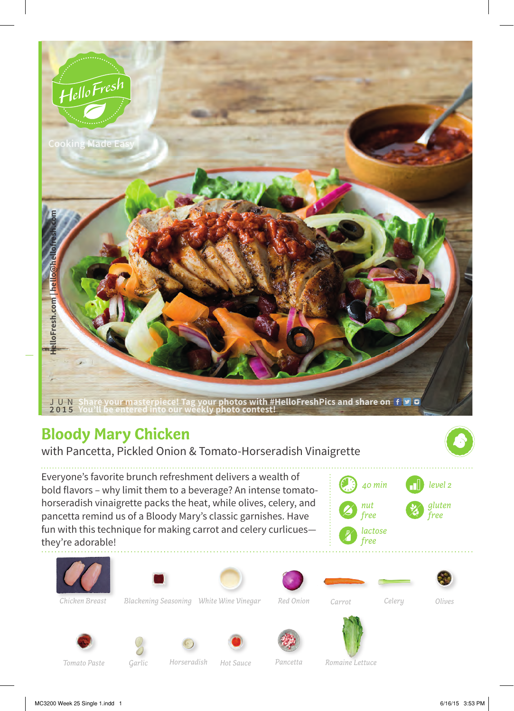

## **Bloody Mary Chicken**

with Pancetta, Pickled Onion & Tomato-Horseradish Vinaigrette

Everyone's favorite brunch refreshment delivers a wealth of bold flavors – why limit them to a beverage? An intense tomatohorseradish vinaigrette packs the heat, while olives, celery, and pancetta remind us of a Bloody Mary's classic garnishes. Have fun with this technique for making carrot and celery curlicues they're adorable!









*White Wine Vinegar Carrot Blackening Seasoning Chicken Breast Celery*

*Red Onion*

*Olives*





*Hot Sauce Horseradish* Garlic **Horseradish** Hot Sauce **Pancetta** Romaine Lettuce